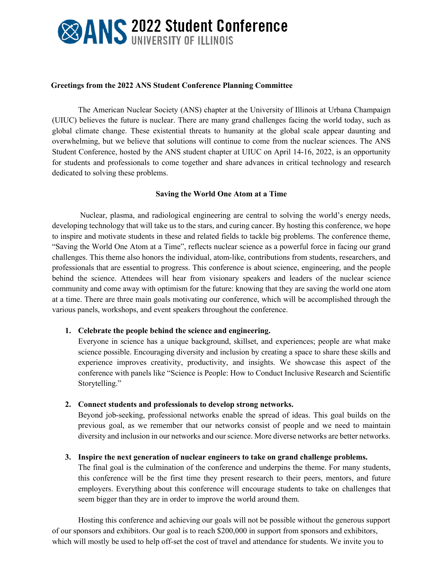# **EXANS 2022 Student Conference**

### **Greetings from the 2022 ANS Student Conference Planning Committee**

The American Nuclear Society (ANS) chapter at the University of Illinois at Urbana Champaign (UIUC) believes the future is nuclear. There are many grand challenges facing the world today, such as global climate change. These existential threats to humanity at the global scale appear daunting and overwhelming, but we believe that solutions will continue to come from the nuclear sciences. The ANS Student Conference, hosted by the ANS student chapter at UIUC on April 14-16, 2022, is an opportunity for students and professionals to come together and share advances in critical technology and research dedicated to solving these problems.

# **Saving the World One Atom at a Time**

Nuclear, plasma, and radiological engineering are central to solving the world's energy needs, developing technology that will take us to the stars, and curing cancer. By hosting this conference, we hope to inspire and motivate students in these and related fields to tackle big problems. The conference theme, "Saving the World One Atom at a Time", reflects nuclear science as a powerful force in facing our grand challenges. This theme also honors the individual, atom-like, contributions from students, researchers, and professionals that are essential to progress. This conference is about science, engineering, and the people behind the science. Attendees will hear from visionary speakers and leaders of the nuclear science community and come away with optimism for the future: knowing that they are saving the world one atom at a time. There are three main goals motivating our conference, which will be accomplished through the various panels, workshops, and event speakers throughout the conference.

### **1. Celebrate the people behind the science and engineering.**

Everyone in science has a unique background, skillset, and experiences; people are what make science possible. Encouraging diversity and inclusion by creating a space to share these skills and experience improves creativity, productivity, and insights. We showcase this aspect of the conference with panels like "Science is People: How to Conduct Inclusive Research and Scientific Storytelling."

### **2. Connect students and professionals to develop strong networks.**

Beyond job-seeking, professional networks enable the spread of ideas. This goal builds on the previous goal, as we remember that our networks consist of people and we need to maintain diversity and inclusion in our networks and our science. More diverse networks are better networks.

### **3. Inspire the next generation of nuclear engineers to take on grand challenge problems.**

The final goal is the culmination of the conference and underpins the theme. For many students, this conference will be the first time they present research to their peers, mentors, and future employers. Everything about this conference will encourage students to take on challenges that seem bigger than they are in order to improve the world around them.

Hosting this conference and achieving our goals will not be possible without the generous support of our sponsors and exhibitors. Our goal is to reach \$200,000 in support from sponsors and exhibitors, which will mostly be used to help off-set the cost of travel and attendance for students. We invite you to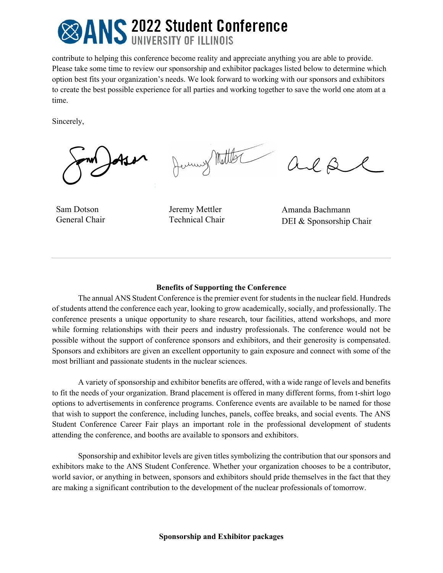# **SANS 2022 Student Conference**

contribute to helping this conference become reality and appreciate anything you are able to provide. Please take some time to review our sponsorship and exhibitor packages listed below to determine which option best fits your organization's needs. We look forward to working with our sponsors and exhibitors to create the best possible experience for all parties and working together to save the world one atom at a time.

Sincerely,

Jerusy Motter

 $\beta$ are

Sam Dotson General Chair

Jeremy Mettler Technical Chair

Amanda Bachmann DEI & Sponsorship Chair

### **Benefits of Supporting the Conference**

The annual ANS Student Conference is the premier event for students in the nuclear field. Hundreds of students attend the conference each year, looking to grow academically, socially, and professionally. The conference presents a unique opportunity to share research, tour facilities, attend workshops, and more while forming relationships with their peers and industry professionals. The conference would not be possible without the support of conference sponsors and exhibitors, and their generosity is compensated. Sponsors and exhibitors are given an excellent opportunity to gain exposure and connect with some of the most brilliant and passionate students in the nuclear sciences.

A variety of sponsorship and exhibitor benefits are offered, with a wide range of levels and benefits to fit the needs of your organization. Brand placement is offered in many different forms, from t-shirt logo options to advertisements in conference programs. Conference events are available to be named for those that wish to support the conference, including lunches, panels, coffee breaks, and social events. The ANS Student Conference Career Fair plays an important role in the professional development of students attending the conference, and booths are available to sponsors and exhibitors.

Sponsorship and exhibitor levels are given titles symbolizing the contribution that our sponsors and exhibitors make to the ANS Student Conference. Whether your organization chooses to be a contributor, world savior, or anything in between, sponsors and exhibitors should pride themselves in the fact that they are making a significant contribution to the development of the nuclear professionals of tomorrow.